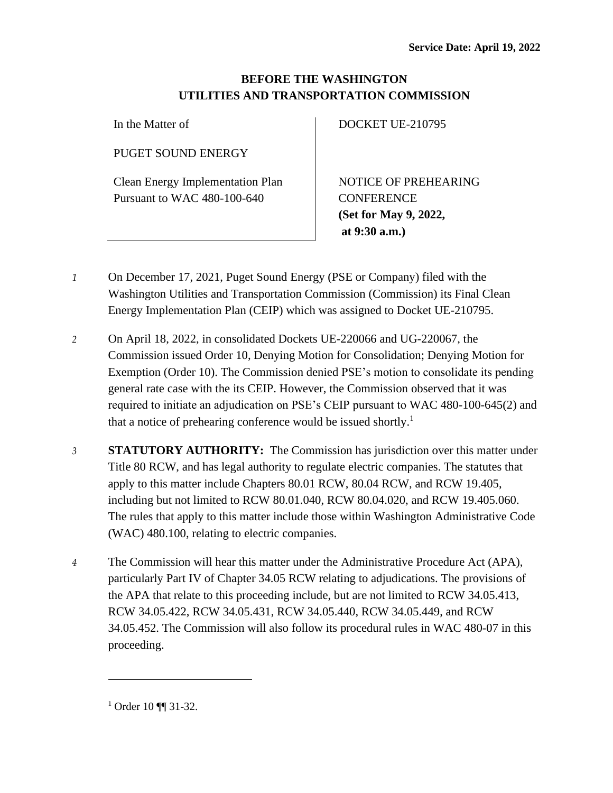## **BEFORE THE WASHINGTON UTILITIES AND TRANSPORTATION COMMISSION**

In the Matter of

PUGET SOUND ENERGY

Clean Energy Implementation Plan Pursuant to WAC 480-100-640

DOCKET UE-210795

NOTICE OF PREHEARING **CONFERENCE (Set for May 9, 2022, at 9:30 a.m.)**

- *1* On December 17, 2021, Puget Sound Energy (PSE or Company) filed with the Washington Utilities and Transportation Commission (Commission) its Final Clean Energy Implementation Plan (CEIP) which was assigned to Docket UE-210795.
- *2* On April 18, 2022, in consolidated Dockets UE-220066 and UG-220067, the Commission issued Order 10, Denying Motion for Consolidation; Denying Motion for Exemption (Order 10). The Commission denied PSE's motion to consolidate its pending general rate case with the its CEIP. However, the Commission observed that it was required to initiate an adjudication on PSE's CEIP pursuant to WAC 480-100-645(2) and that a notice of prehearing conference would be issued shortly.<sup>1</sup>
- *3* **STATUTORY AUTHORITY:** The Commission has jurisdiction over this matter under Title 80 RCW, and has legal authority to regulate electric companies. The statutes that apply to this matter include Chapters 80.01 RCW, 80.04 RCW, and RCW 19.405, including but not limited to RCW 80.01.040, RCW 80.04.020, and RCW 19.405.060. The rules that apply to this matter include those within Washington Administrative Code (WAC) 480.100, relating to electric companies.
- *4* The Commission will hear this matter under the Administrative Procedure Act (APA), particularly Part IV of Chapter 34.05 RCW relating to adjudications. The provisions of the APA that relate to this proceeding include, but are not limited to RCW 34.05.413, RCW 34.05.422, RCW 34.05.431, RCW 34.05.440, RCW 34.05.449, and RCW 34.05.452. The Commission will also follow its procedural rules in WAC 480-07 in this proceeding.

<sup>&</sup>lt;sup>1</sup> Order 10 ¶¶ 31-32.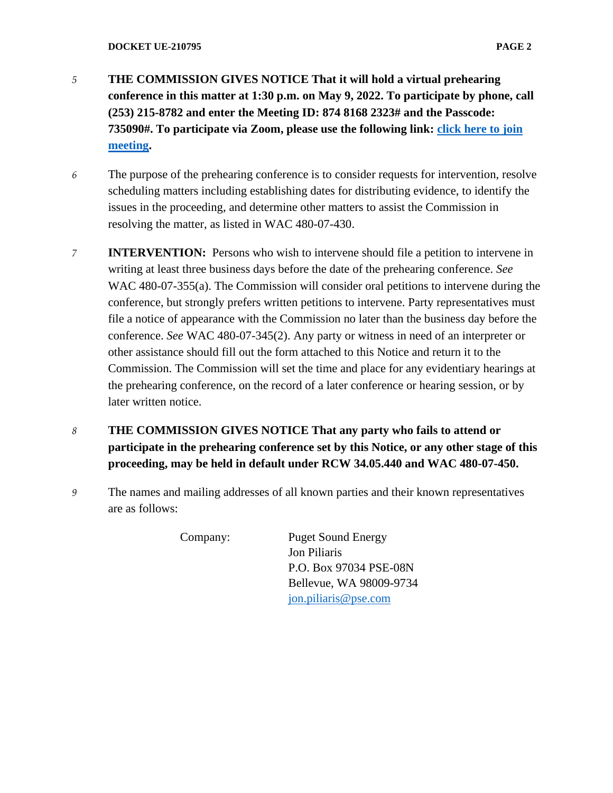- *5* **THE COMMISSION GIVES NOTICE That it will hold a virtual prehearing conference in this matter at 1:30 p.m. on May 9, 2022. To participate by phone, call (253) 215-8782 and enter the Meeting ID: 874 8168 2323# and the Passcode: 735090#. To participate via Zoom, please use the following link: [click here to join](https://utc-wa-gov.zoom.us/j/87481682323?pwd=ZUo1aDJXUHY0bmNKVkpHT0dtRGtTdz09)  [meeting.](https://utc-wa-gov.zoom.us/j/87481682323?pwd=ZUo1aDJXUHY0bmNKVkpHT0dtRGtTdz09)**
- *6* The purpose of the prehearing conference is to consider requests for intervention, resolve scheduling matters including establishing dates for distributing evidence, to identify the issues in the proceeding, and determine other matters to assist the Commission in resolving the matter, as listed in WAC 480-07-430.
- *7* **INTERVENTION:** Persons who wish to intervene should file a petition to intervene in writing at least three business days before the date of the prehearing conference. *See* WAC 480-07-355(a). The Commission will consider oral petitions to intervene during the conference, but strongly prefers written petitions to intervene. Party representatives must file a notice of appearance with the Commission no later than the business day before the conference. *See* WAC 480-07-345(2). Any party or witness in need of an interpreter or other assistance should fill out the form attached to this Notice and return it to the Commission. The Commission will set the time and place for any evidentiary hearings at the prehearing conference, on the record of a later conference or hearing session, or by later written notice.
- *8* **THE COMMISSION GIVES NOTICE That any party who fails to attend or participate in the prehearing conference set by this Notice, or any other stage of this proceeding, may be held in default under RCW 34.05.440 and WAC 480-07-450.**
- *9* The names and mailing addresses of all known parties and their known representatives are as follows:

Company: Puget Sound Energy Jon Piliaris P.O. Box 97034 PSE-08N Bellevue, WA 98009-9734 [jon.piliaris@pse.com](mailto:jon.piliaris@pse.com)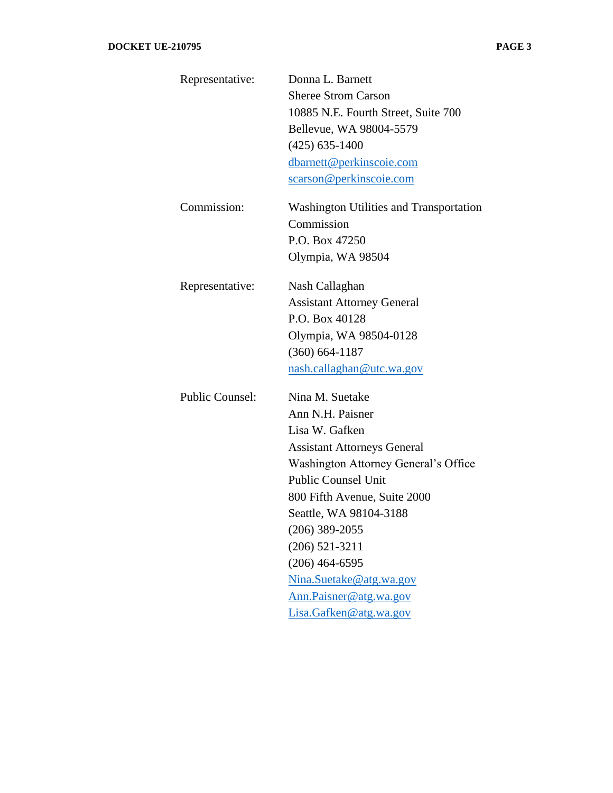| Representative:        | Donna L. Barnett                               |
|------------------------|------------------------------------------------|
|                        | <b>Sheree Strom Carson</b>                     |
|                        | 10885 N.E. Fourth Street, Suite 700            |
|                        | Bellevue, WA 98004-5579                        |
|                        | $(425)$ 635-1400                               |
|                        | dbarnett@perkinscoie.com                       |
|                        | scarson@perkinscoie.com                        |
| Commission:            | <b>Washington Utilities and Transportation</b> |
|                        | Commission                                     |
|                        | P.O. Box 47250                                 |
|                        | Olympia, WA 98504                              |
| Representative:        | Nash Callaghan                                 |
|                        | <b>Assistant Attorney General</b>              |
|                        | P.O. Box 40128                                 |
|                        | Olympia, WA 98504-0128                         |
|                        | $(360) 664 - 1187$                             |
|                        | nash.callaghan@utc.wa.gov                      |
| <b>Public Counsel:</b> | Nina M. Suetake                                |
|                        | Ann N.H. Paisner                               |
|                        | Lisa W. Gafken                                 |
|                        | <b>Assistant Attorneys General</b>             |
|                        | Washington Attorney General's Office           |
|                        | <b>Public Counsel Unit</b>                     |
|                        | 800 Fifth Avenue, Suite 2000                   |
|                        | Seattle, WA 98104-3188                         |
|                        | $(206)$ 389-2055                               |
|                        | $(206)$ 521-3211                               |
|                        | $(206)$ 464-6595                               |
|                        | Nina.Suetake@atg.wa.gov                        |
|                        | Ann.Paisner@atg.wa.gov                         |
|                        | Lisa.Gafken@atg.wa.gov                         |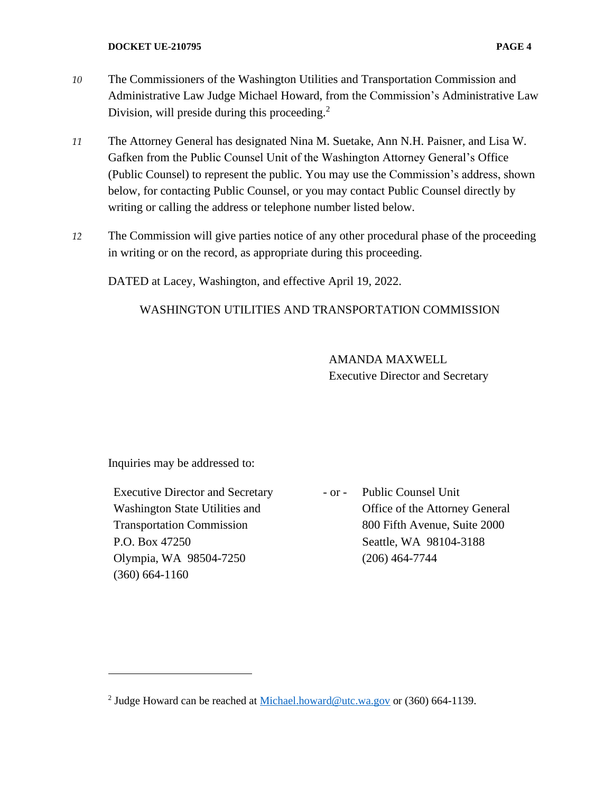- *10* The Commissioners of the Washington Utilities and Transportation Commission and Administrative Law Judge Michael Howard, from the Commission's Administrative Law Division, will preside during this proceeding.<sup>2</sup>
- *11* The Attorney General has designated Nina M. Suetake, Ann N.H. Paisner, and Lisa W. Gafken from the Public Counsel Unit of the Washington Attorney General's Office (Public Counsel) to represent the public. You may use the Commission's address, shown below, for contacting Public Counsel, or you may contact Public Counsel directly by writing or calling the address or telephone number listed below.
- *12* The Commission will give parties notice of any other procedural phase of the proceeding in writing or on the record, as appropriate during this proceeding.

DATED at Lacey, Washington, and effective April 19, 2022.

## WASHINGTON UTILITIES AND TRANSPORTATION COMMISSION

AMANDA MAXWELL Executive Director and Secretary

Inquiries may be addressed to:

Executive Director and Secretary Washington State Utilities and Transportation Commission P.O. Box 47250 Olympia, WA 98504-7250 (360) 664-1160

- or - Public Counsel Unit Office of the Attorney General 800 Fifth Avenue, Suite 2000 Seattle, WA 98104-3188 (206) 464-7744

<sup>&</sup>lt;sup>2</sup> Judge Howard can be reached at [Michael.howard@utc.wa.gov](mailto:Michael.howard@utc.wa.gov) or (360) 664-1139.